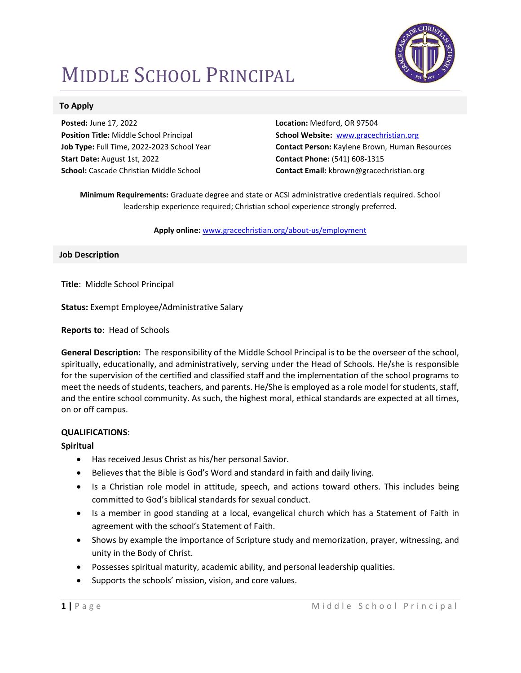# MIDDLE SCHOOL PRINCIPAL



## To Apply

Posted: June 17, 2022 Position Title: Middle School Principal Job Type: Full Time, 2022-2023 School Year Start Date: August 1st, 2022 School: Cascade Christian Middle School

Location: Medford, OR 97504 School Website: www.gracechristian.org Contact Person: Kaylene Brown, Human Resources Contact Phone: (541) 608-1315 Contact Email: kbrown@gracechristian.org

Minimum Requirements: Graduate degree and state or ACSI administrative credentials required. School leadership experience required; Christian school experience strongly preferred.

#### Apply online: www.gracechristian.org/about-us/employment

## Job Description

Title: Middle School Principal

Status: Exempt Employee/Administrative Salary

Reports to: Head of Schools

General Description: The responsibility of the Middle School Principal is to be the overseer of the school, spiritually, educationally, and administratively, serving under the Head of Schools. He/she is responsible for the supervision of the certified and classified staff and the implementation of the school programs to meet the needs of students, teachers, and parents. He/She is employed as a role model for students, staff, and the entire school community. As such, the highest moral, ethical standards are expected at all times, on or off campus.

## QUALIFICATIONS:

## Spiritual

- Has received Jesus Christ as his/her personal Savior.
- Believes that the Bible is God's Word and standard in faith and daily living.
- Is a Christian role model in attitude, speech, and actions toward others. This includes being committed to God's biblical standards for sexual conduct.
- Is a member in good standing at a local, evangelical church which has a Statement of Faith in agreement with the school's Statement of Faith.
- Shows by example the importance of Scripture study and memorization, prayer, witnessing, and unity in the Body of Christ.
- Possesses spiritual maturity, academic ability, and personal leadership qualities.
- Supports the schools' mission, vision, and core values.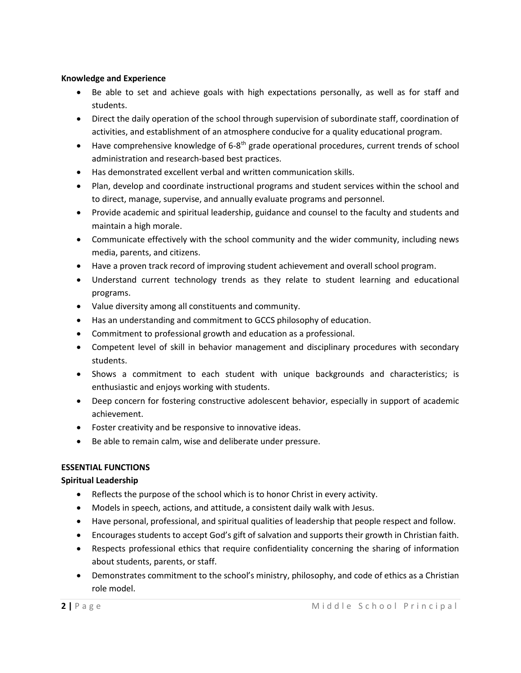## Knowledge and Experience

- Be able to set and achieve goals with high expectations personally, as well as for staff and students.
- Direct the daily operation of the school through supervision of subordinate staff, coordination of activities, and establishment of an atmosphere conducive for a quality educational program.
- $\bullet$  Have comprehensive knowledge of 6-8<sup>th</sup> grade operational procedures, current trends of school administration and research-based best practices.
- Has demonstrated excellent verbal and written communication skills.
- Plan, develop and coordinate instructional programs and student services within the school and to direct, manage, supervise, and annually evaluate programs and personnel.
- Provide academic and spiritual leadership, guidance and counsel to the faculty and students and maintain a high morale.
- Communicate effectively with the school community and the wider community, including news media, parents, and citizens.
- Have a proven track record of improving student achievement and overall school program.
- Understand current technology trends as they relate to student learning and educational programs.
- Value diversity among all constituents and community.
- Has an understanding and commitment to GCCS philosophy of education.
- Commitment to professional growth and education as a professional.
- Competent level of skill in behavior management and disciplinary procedures with secondary students.
- Shows a commitment to each student with unique backgrounds and characteristics; is enthusiastic and enjoys working with students.
- Deep concern for fostering constructive adolescent behavior, especially in support of academic achievement.
- Foster creativity and be responsive to innovative ideas.
- Be able to remain calm, wise and deliberate under pressure.

# ESSENTIAL FUNCTIONS

# Spiritual Leadership

- Reflects the purpose of the school which is to honor Christ in every activity.
- Models in speech, actions, and attitude, a consistent daily walk with Jesus.
- Have personal, professional, and spiritual qualities of leadership that people respect and follow.
- Encourages students to accept God's gift of salvation and supports their growth in Christian faith.
- Respects professional ethics that require confidentiality concerning the sharing of information about students, parents, or staff.
- Demonstrates commitment to the school's ministry, philosophy, and code of ethics as a Christian role model.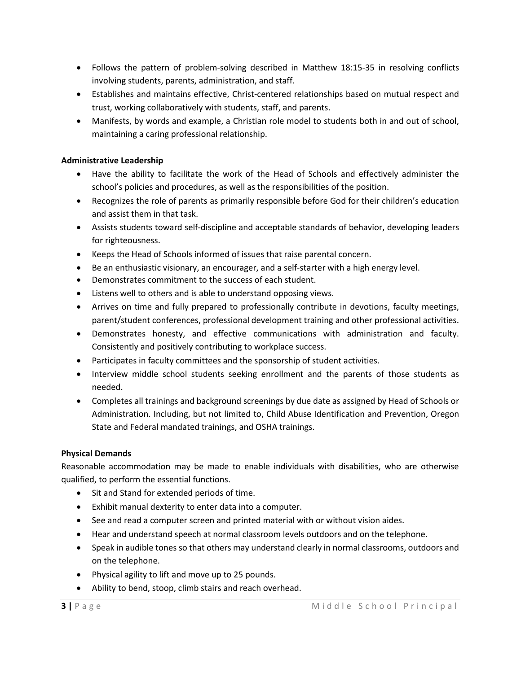- Follows the pattern of problem-solving described in Matthew 18:15-35 in resolving conflicts involving students, parents, administration, and staff.
- Establishes and maintains effective, Christ-centered relationships based on mutual respect and trust, working collaboratively with students, staff, and parents.
- Manifests, by words and example, a Christian role model to students both in and out of school, maintaining a caring professional relationship.

# Administrative Leadership

- Have the ability to facilitate the work of the Head of Schools and effectively administer the school's policies and procedures, as well as the responsibilities of the position.
- Recognizes the role of parents as primarily responsible before God for their children's education and assist them in that task.
- Assists students toward self-discipline and acceptable standards of behavior, developing leaders for righteousness.
- Keeps the Head of Schools informed of issues that raise parental concern.
- Be an enthusiastic visionary, an encourager, and a self-starter with a high energy level.
- Demonstrates commitment to the success of each student.
- Listens well to others and is able to understand opposing views.
- Arrives on time and fully prepared to professionally contribute in devotions, faculty meetings, parent/student conferences, professional development training and other professional activities.
- Demonstrates honesty, and effective communications with administration and faculty. Consistently and positively contributing to workplace success.
- Participates in faculty committees and the sponsorship of student activities.
- Interview middle school students seeking enrollment and the parents of those students as needed.
- Completes all trainings and background screenings by due date as assigned by Head of Schools or Administration. Including, but not limited to, Child Abuse Identification and Prevention, Oregon State and Federal mandated trainings, and OSHA trainings.

# Physical Demands

Reasonable accommodation may be made to enable individuals with disabilities, who are otherwise qualified, to perform the essential functions.

- Sit and Stand for extended periods of time.
- Exhibit manual dexterity to enter data into a computer.
- See and read a computer screen and printed material with or without vision aides.
- Hear and understand speech at normal classroom levels outdoors and on the telephone.
- Speak in audible tones so that others may understand clearly in normal classrooms, outdoors and on the telephone.
- Physical agility to lift and move up to 25 pounds.
- Ability to bend, stoop, climb stairs and reach overhead.